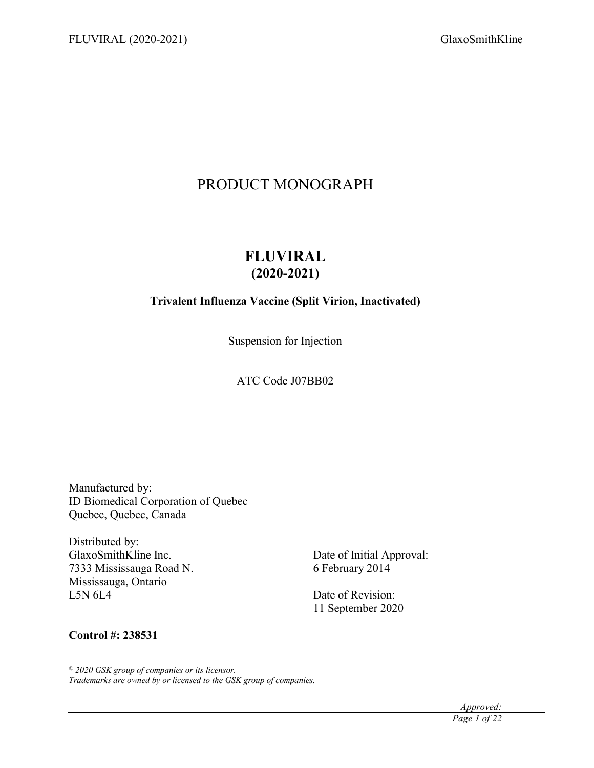# PRODUCT MONOGRAPH

# **FLUVIRAL (2020-2021)**

# **Trivalent Influenza Vaccine (Split Virion, Inactivated)**

Suspension for Injection

ATC Code J07BB02

Manufactured by: ID Biomedical Corporation of Quebec Quebec, Quebec, Canada

Distributed by: GlaxoSmithKline Inc. Date of Initial Approval: 7333 Mississauga Road N. 6 February 2014 Mississauga, Ontario L5N 6L4 Date of Revision:

11 September 2020

### **Control #: 238531**

*© 2020 GSK group of companies or its licensor. Trademarks are owned by or licensed to the GSK group of companies.*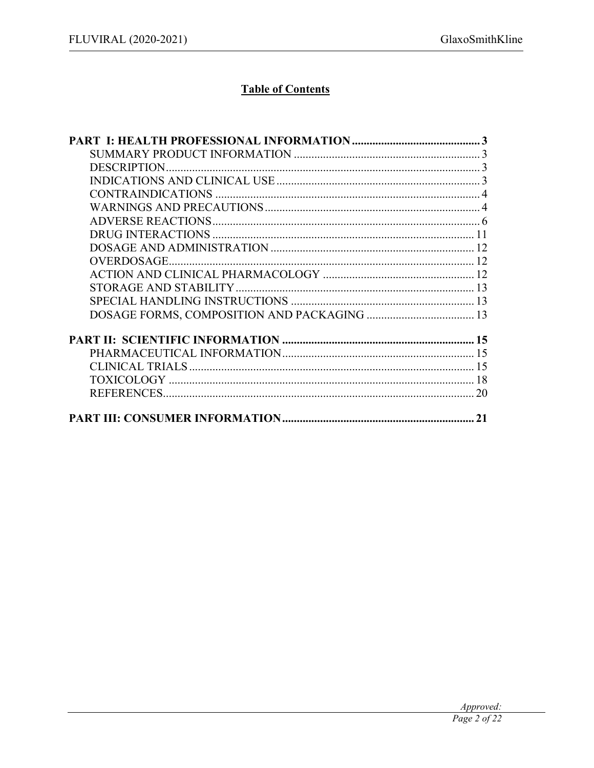# **Table of Contents**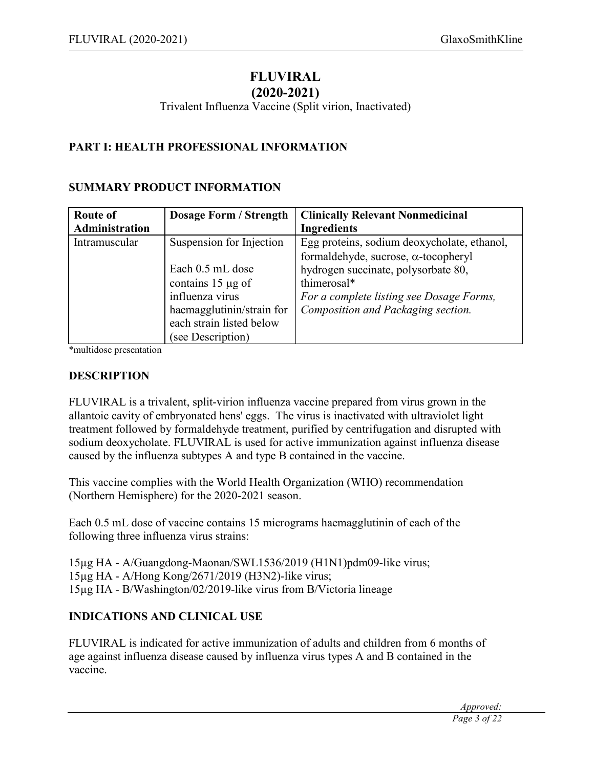# **FLUVIRAL**

# **(2020-2021)**

Trivalent Influenza Vaccine (Split virion, Inactivated)

### **PART I: HEALTH PROFESSIONAL INFORMATION**

### **SUMMARY PRODUCT INFORMATION**

| <b>Route of</b> | <b>Dosage Form / Strength</b> | <b>Clinically Relevant Nonmedicinal</b>     |
|-----------------|-------------------------------|---------------------------------------------|
| Administration  |                               | <b>Ingredients</b>                          |
| Intramuscular   | Suspension for Injection      | Egg proteins, sodium deoxycholate, ethanol, |
|                 |                               | formaldehyde, sucrose, α-tocopheryl         |
|                 | Each 0.5 mL dose              | hydrogen succinate, polysorbate 80,         |
|                 | contains $15 \mu g$ of        | thimerosal*                                 |
|                 | influenza virus               | For a complete listing see Dosage Forms,    |
|                 | haemagglutinin/strain for     | Composition and Packaging section.          |
|                 | each strain listed below      |                                             |
|                 | (see Description)             |                                             |

\*multidose presentation

### **DESCRIPTION**

FLUVIRAL is a trivalent, split-virion influenza vaccine prepared from virus grown in the allantoic cavity of embryonated hens' eggs. The virus is inactivated with ultraviolet light treatment followed by formaldehyde treatment, purified by centrifugation and disrupted with sodium deoxycholate. FLUVIRAL is used for active immunization against influenza disease caused by the influenza subtypes A and type B contained in the vaccine.

This vaccine complies with the World Health Organization (WHO) recommendation (Northern Hemisphere) for the 2020-2021 season.

Each 0.5 mL dose of vaccine contains 15 micrograms haemagglutinin of each of the following three influenza virus strains:

15µg HA - A/Guangdong-Maonan/SWL1536/2019 (H1N1)pdm09-like virus; 15µg HA - A/Hong Kong/2671/2019 (H3N2)-like virus;

15µg HA - B/Washington/02/2019-like virus from B/Victoria lineage

# **INDICATIONS AND CLINICAL USE**

FLUVIRAL is indicated for active immunization of adults and children from 6 months of age against influenza disease caused by influenza virus types A and B contained in the vaccine.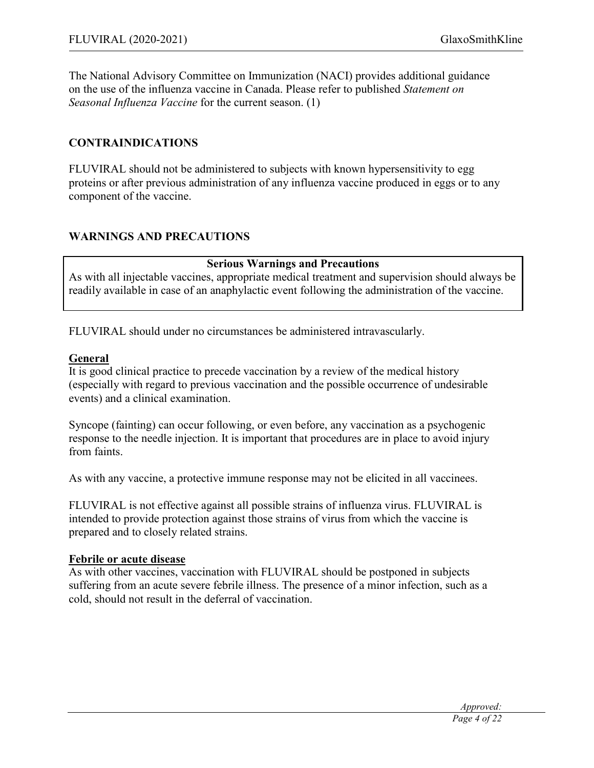The National Advisory Committee on Immunization (NACI) provides additional guidance on the use of the influenza vaccine in Canada. Please refer to published *Statement on Seasonal Influenza Vaccine* for the current season. (1)

### **CONTRAINDICATIONS**

FLUVIRAL should not be administered to subjects with known hypersensitivity to egg proteins or after previous administration of any influenza vaccine produced in eggs or to any component of the vaccine.

### **WARNINGS AND PRECAUTIONS**

### **Serious Warnings and Precautions**

As with all injectable vaccines, appropriate medical treatment and supervision should always be readily available in case of an anaphylactic event following the administration of the vaccine.

FLUVIRAL should under no circumstances be administered intravascularly.

#### **General**

It is good clinical practice to precede vaccination by a review of the medical history (especially with regard to previous vaccination and the possible occurrence of undesirable events) and a clinical examination.

Syncope (fainting) can occur following, or even before, any vaccination as a psychogenic response to the needle injection. It is important that procedures are in place to avoid injury from faints.

As with any vaccine, a protective immune response may not be elicited in all vaccinees.

FLUVIRAL is not effective against all possible strains of influenza virus. FLUVIRAL is intended to provide protection against those strains of virus from which the vaccine is prepared and to closely related strains.

#### **Febrile or acute disease**

As with other vaccines, vaccination with FLUVIRAL should be postponed in subjects suffering from an acute severe febrile illness. The presence of a minor infection, such as a cold, should not result in the deferral of vaccination.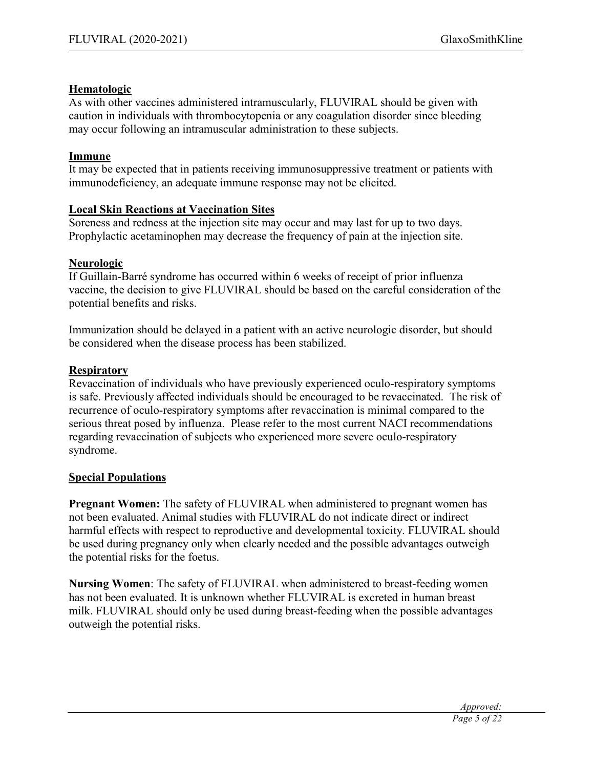### **Hematologic**

As with other vaccines administered intramuscularly, FLUVIRAL should be given with caution in individuals with thrombocytopenia or any coagulation disorder since bleeding may occur following an intramuscular administration to these subjects.

### **Immune**

It may be expected that in patients receiving immunosuppressive treatment or patients with immunodeficiency, an adequate immune response may not be elicited.

# **Local Skin Reactions at Vaccination Sites**

Soreness and redness at the injection site may occur and may last for up to two days. Prophylactic acetaminophen may decrease the frequency of pain at the injection site.

# **Neurologic**

If Guillain-Barré syndrome has occurred within 6 weeks of receipt of prior influenza vaccine, the decision to give FLUVIRAL should be based on the careful consideration of the potential benefits and risks.

Immunization should be delayed in a patient with an active neurologic disorder, but should be considered when the disease process has been stabilized.

# **Respiratory**

Revaccination of individuals who have previously experienced oculo-respiratory symptoms is safe. Previously affected individuals should be encouraged to be revaccinated. The risk of recurrence of oculo-respiratory symptoms after revaccination is minimal compared to the serious threat posed by influenza. Please refer to the most current NACI recommendations regarding revaccination of subjects who experienced more severe oculo-respiratory syndrome.

# **Special Populations**

**Pregnant Women:** The safety of FLUVIRAL when administered to pregnant women has not been evaluated. Animal studies with FLUVIRAL do not indicate direct or indirect harmful effects with respect to reproductive and developmental toxicity. FLUVIRAL should be used during pregnancy only when clearly needed and the possible advantages outweigh the potential risks for the foetus.

**Nursing Women**: The safety of FLUVIRAL when administered to breast-feeding women has not been evaluated. It is unknown whether FLUVIRAL is excreted in human breast milk. FLUVIRAL should only be used during breast-feeding when the possible advantages outweigh the potential risks.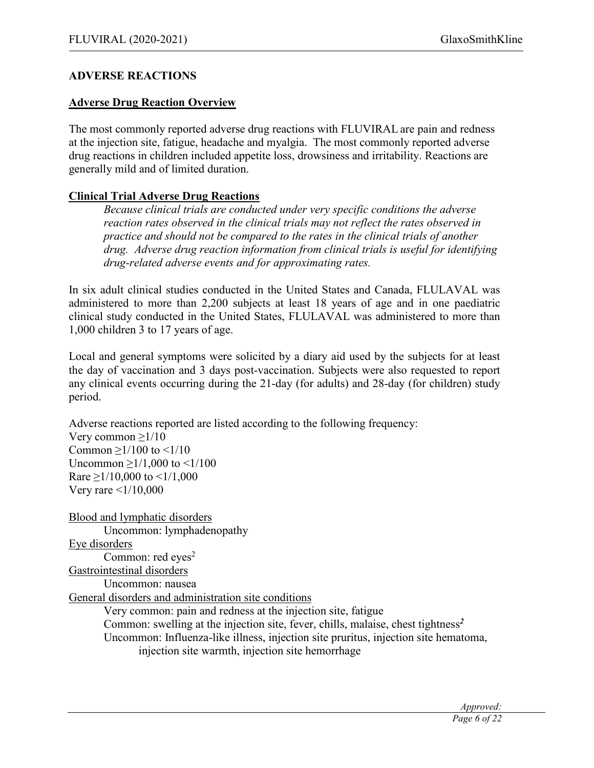### **ADVERSE REACTIONS**

#### **Adverse Drug Reaction Overview**

The most commonly reported adverse drug reactions with FLUVIRAL are pain and redness at the injection site, fatigue, headache and myalgia. The most commonly reported adverse drug reactions in children included appetite loss, drowsiness and irritability. Reactions are generally mild and of limited duration.

### **Clinical Trial Adverse Drug Reactions**

*Because clinical trials are conducted under very specific conditions the adverse reaction rates observed in the clinical trials may not reflect the rates observed in practice and should not be compared to the rates in the clinical trials of another drug. Adverse drug reaction information from clinical trials is useful for identifying drug-related adverse events and for approximating rates.*

In six adult clinical studies conducted in the United States and Canada, FLULAVAL was administered to more than 2,200 subjects at least 18 years of age and in one paediatric clinical study conducted in the United States, FLULAVAL was administered to more than 1,000 children 3 to 17 years of age.

Local and general symptoms were solicited by a diary aid used by the subjects for at least the day of vaccination and 3 days post-vaccination. Subjects were also requested to report any clinical events occurring during the 21-day (for adults) and 28-day (for children) study period.

Adverse reactions reported are listed according to the following frequency: Very common  $\geq 1/10$ Common  $>1/100$  to  $<1/10$ Uncommon ≥1/1,000 to <1/100 Rare  $\geq$ 1/10,000 to <1/1,000 Very rare  $\leq 1/10,000$ 

Blood and lymphatic disorders Uncommon: lymphadenopathy Eye disorders Common: red eyes<sup>2</sup> Gastrointestinal disorders Uncommon: nausea General disorders and administration site conditions Very common: pain and redness at the injection site, fatigue Common: swelling at the injection site, fever, chills, malaise, chest tightness*<sup>2</sup>* Uncommon: Influenza-like illness, injection site pruritus, injection site hematoma, injection site warmth, injection site hemorrhage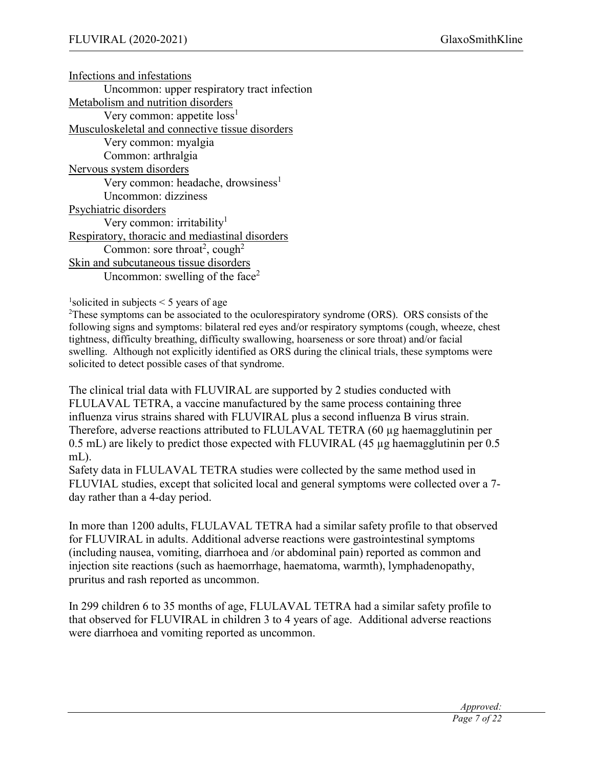Infections and infestations Uncommon: upper respiratory tract infection Metabolism and nutrition disorders Very common: appetite  $loss<sup>1</sup>$ Musculoskeletal and connective tissue disorders Very common: myalgia Common: arthralgia Nervous system disorders Very common: headache, drowsiness<sup>1</sup> Uncommon: dizziness Psychiatric disorders Very common: irritability<sup>1</sup> Respiratory, thoracic and mediastinal disorders Common: sore throat<sup>2</sup>, cough<sup>2</sup> Skin and subcutaneous tissue disorders Uncommon: swelling of the face<sup>2</sup>

 $<sup>1</sup>$ solicited in subjects < 5 years of age</sup>

 ${}^{2}$ These symptoms can be associated to the oculorespiratory syndrome (ORS). ORS consists of the following signs and symptoms: bilateral red eyes and/or respiratory symptoms (cough, wheeze, chest tightness, difficulty breathing, difficulty swallowing, hoarseness or sore throat) and/or facial swelling. Although not explicitly identified as ORS during the clinical trials, these symptoms were solicited to detect possible cases of that syndrome.

The clinical trial data with FLUVIRAL are supported by 2 studies conducted with FLULAVAL TETRA, a vaccine manufactured by the same process containing three influenza virus strains shared with FLUVIRAL plus a second influenza B virus strain. Therefore, adverse reactions attributed to FLULAVAL TETRA (60 µg haemagglutinin per 0.5 mL) are likely to predict those expected with FLUVIRAL (45 µg haemagglutinin per 0.5 mL).

Safety data in FLULAVAL TETRA studies were collected by the same method used in FLUVIAL studies, except that solicited local and general symptoms were collected over a 7 day rather than a 4-day period.

In more than 1200 adults, FLULAVAL TETRA had a similar safety profile to that observed for FLUVIRAL in adults. Additional adverse reactions were gastrointestinal symptoms (including nausea, vomiting, diarrhoea and /or abdominal pain) reported as common and injection site reactions (such as haemorrhage, haematoma, warmth), lymphadenopathy, pruritus and rash reported as uncommon.

In 299 children 6 to 35 months of age, FLULAVAL TETRA had a similar safety profile to that observed for FLUVIRAL in children 3 to 4 years of age. Additional adverse reactions were diarrhoea and vomiting reported as uncommon.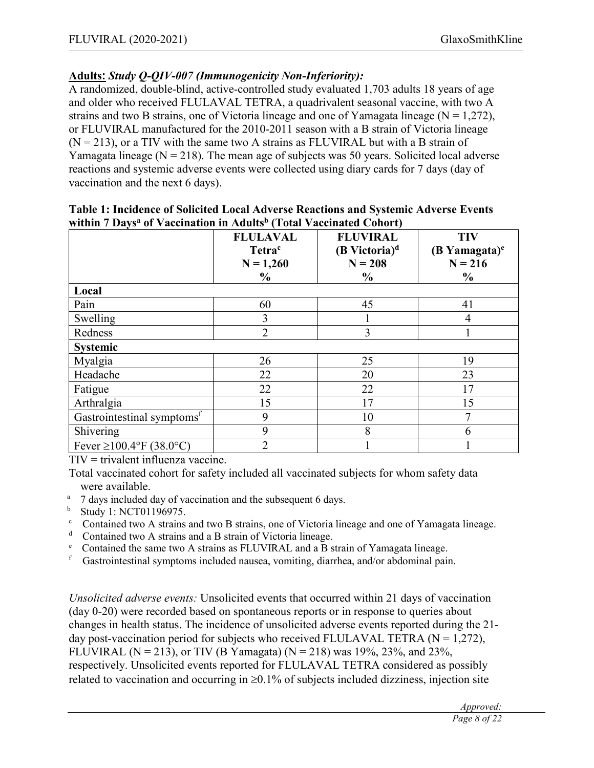# **Adults:** *Study Q-QIV-007 (Immunogenicity Non-Inferiority):*

A randomized, double-blind, active-controlled study evaluated 1,703 adults 18 years of age and older who received FLULAVAL TETRA, a quadrivalent seasonal vaccine, with two A strains and two B strains, one of Victoria lineage and one of Yamagata lineage  $(N = 1,272)$ , or FLUVIRAL manufactured for the 2010-2011 season with a B strain of Victoria lineage  $(N = 213)$ , or a TIV with the same two A strains as FLUVIRAL but with a B strain of Yamagata lineage ( $N = 218$ ). The mean age of subjects was 50 years. Solicited local adverse reactions and systemic adverse events were collected using diary cards for 7 days (day of vaccination and the next 6 days).

|                                        | <b>FLULAVAL</b><br>Tetra <sup>c</sup><br>$N = 1,260$<br>$\frac{0}{0}$ | <b>FLUVIRAL</b><br>$(B$ Victoria) <sup>d</sup><br>$N = 208$<br>$\frac{0}{0}$ | <b>TIV</b><br>$(B$ Yamagata) $e$<br>$N = 216$<br>$\frac{0}{0}$ |
|----------------------------------------|-----------------------------------------------------------------------|------------------------------------------------------------------------------|----------------------------------------------------------------|
| Local                                  |                                                                       |                                                                              |                                                                |
| Pain                                   | 60                                                                    | 45                                                                           | 41                                                             |
| Swelling                               | 3                                                                     |                                                                              | $\overline{4}$                                                 |
| Redness                                | $\overline{2}$                                                        | 3                                                                            |                                                                |
| Systemic                               |                                                                       |                                                                              |                                                                |
| Myalgia                                | 26                                                                    | 25                                                                           | 19                                                             |
| Headache                               | 22                                                                    | 20                                                                           | 23                                                             |
| Fatigue                                | 22                                                                    | 22                                                                           | 17                                                             |
| Arthralgia                             | 15                                                                    | 17                                                                           | 15                                                             |
| Gastrointestinal symptoms <sup>f</sup> | 9                                                                     | 10                                                                           | 7                                                              |
| Shivering                              | 9                                                                     | 8                                                                            | 6                                                              |
| Fever $\geq 100.4$ °F (38.0°C)         | $\overline{2}$                                                        |                                                                              |                                                                |

#### **Table 1: Incidence of Solicited Local Adverse Reactions and Systemic Adverse Events within 7 Daysa of Vaccination in Adultsb (Total Vaccinated Cohort)**

TIV = trivalent influenza vaccine.

Total vaccinated cohort for safety included all vaccinated subjects for whom safety data were available.

- <sup>a</sup> 7 days included day of vaccination and the subsequent 6 days.
- **b** Study 1: NCT01196975.
- $\degree$  Contained two A strains and two B strains, one of Victoria lineage and one of Yamagata lineage.
- <sup>d</sup> Contained two A strains and a B strain of Victoria lineage.
- <sup>e</sup> Contained the same two A strains as FLUVIRAL and a B strain of Yamagata lineage.
- Gastrointestinal symptoms included nausea, vomiting, diarrhea, and/or abdominal pain.

*Unsolicited adverse events:* Unsolicited events that occurred within 21 days of vaccination (day 0-20) were recorded based on spontaneous reports or in response to queries about changes in health status. The incidence of unsolicited adverse events reported during the 21 day post-vaccination period for subjects who received FLULAVAL TETRA  $(N = 1,272)$ , FLUVIRAL (N = 213), or TIV (B Yamagata) (N = 218) was 19%, 23%, and 23%, respectively. Unsolicited events reported for FLULAVAL TETRA considered as possibly related to vaccination and occurring in  $\geq 0.1\%$  of subjects included dizziness, injection site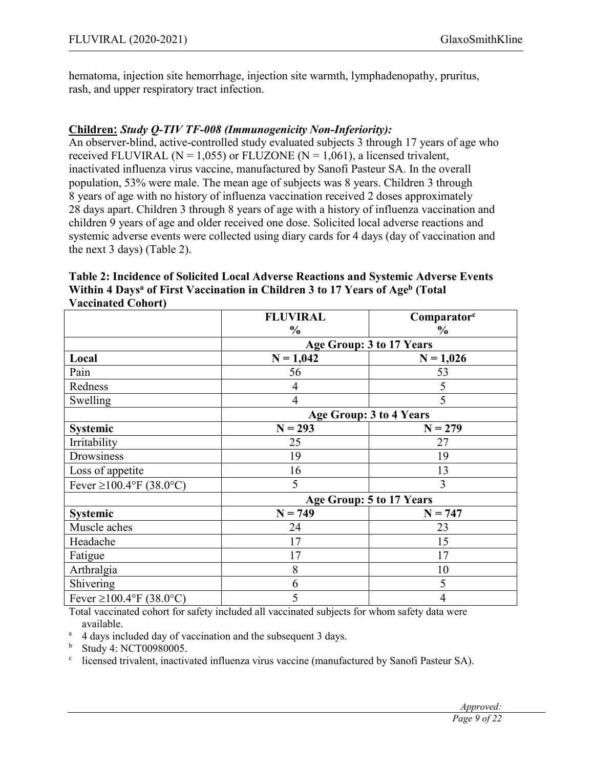hematoma, injection site hemorrhage, injection site warmth, lymphadenopathy, pruritus, rash, and upper respiratory tract infection.

# **Children:** *Study Q-TIV TF-008 (Immunogenicity Non-Inferiority):*

An observer-blind, active-controlled study evaluated subjects 3 through 17 years of age who received FLUVIRAL ( $N = 1,055$ ) or FLUZONE ( $N = 1,061$ ), a licensed trivalent, inactivated influenza virus vaccine, manufactured by Sanofi Pasteur SA. In the overall population, 53% were male. The mean age of subjects was 8 years. Children 3 through 8 years of age with no history of influenza vaccination received 2 doses approximately 28 days apart. Children 3 through 8 years of age with a history of influenza vaccination and children 9 years of age and older received one dose. Solicited local adverse reactions and systemic adverse events were collected using diary cards for 4 days (day of vaccination and the next 3 days) (Table 2).

| Table 2: Incidence of Solicited Local Adverse Reactions and Systemic Adverse Events                  |
|------------------------------------------------------------------------------------------------------|
| Within 4 Days <sup>a</sup> of First Vaccination in Children 3 to 17 Years of Age <sup>b</sup> (Total |
| <b>Vaccinated Cohort</b> )                                                                           |

|                                | <b>FLUVIRAL</b>          | Comparator <sup>c</sup>  |  |
|--------------------------------|--------------------------|--------------------------|--|
|                                | $\frac{0}{0}$            | $\frac{0}{0}$            |  |
|                                | Age Group: 3 to 17 Years |                          |  |
| Local                          | $N = 1,042$              | $N = 1,026$              |  |
| Pain                           | 56                       | 53                       |  |
| Redness                        | 4                        | 5                        |  |
| Swelling                       | $\overline{4}$           | 5                        |  |
|                                |                          | Age Group: 3 to 4 Years  |  |
| Systemic                       | $N = 293$                | $N = 279$                |  |
| Irritability                   | 25                       | 27                       |  |
| Drowsiness                     | 19                       | 19                       |  |
| Loss of appetite               | 16                       | 13                       |  |
| Fever $\geq 100.4$ °F (38.0°C) | 5                        | 3                        |  |
|                                |                          | Age Group: 5 to 17 Years |  |
| Systemic                       | $N = 749$                | $N = 747$                |  |
| Muscle aches                   | 24                       | 23                       |  |
| Headache                       | 17                       | 15                       |  |
| Fatigue                        | 17                       | 17                       |  |
| Arthralgia                     | 8                        | 10                       |  |
| Shivering                      | 6                        | 5                        |  |
| Fever $\geq$ 100.4°F (38.0°C)  | 5                        | $\overline{4}$           |  |

Total vaccinated cohort for safety included all vaccinated subjects for whom safety data were available.

<sup>a</sup> 4 days included day of vaccination and the subsequent 3 days.<br><sup>b</sup> Study 4: NCT00980005

<sup>b</sup> Study 4: NCT00980005.

 $\degree$  licensed trivalent, inactivated influenza virus vaccine (manufactured by Sanofi Pasteur SA).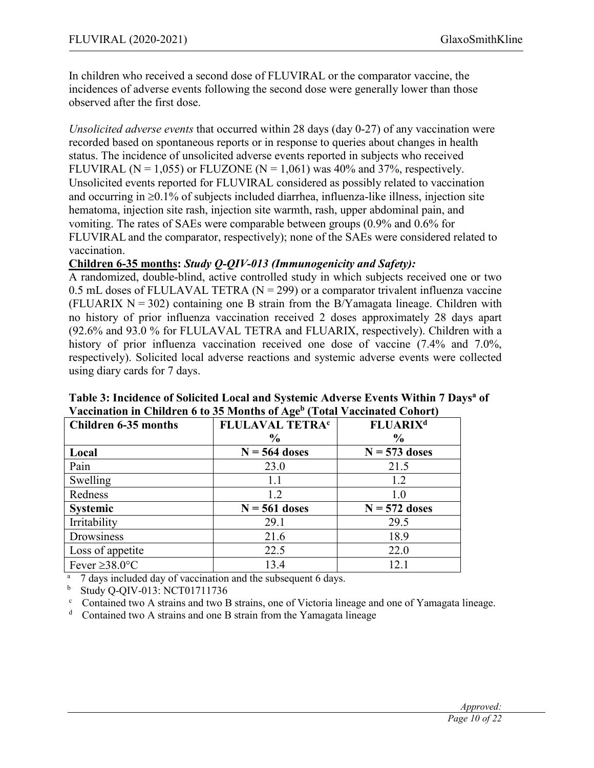In children who received a second dose of FLUVIRAL or the comparator vaccine, the incidences of adverse events following the second dose were generally lower than those observed after the first dose.

*Unsolicited adverse events* that occurred within 28 days (day 0-27) of any vaccination were recorded based on spontaneous reports or in response to queries about changes in health status. The incidence of unsolicited adverse events reported in subjects who received FLUVIRAL ( $N = 1,055$ ) or FLUZONE ( $N = 1,061$ ) was 40% and 37%, respectively. Unsolicited events reported for FLUVIRAL considered as possibly related to vaccination and occurring in  $\geq 0.1\%$  of subjects included diarrhea, influenza-like illness, injection site hematoma, injection site rash, injection site warmth, rash, upper abdominal pain, and vomiting. The rates of SAEs were comparable between groups (0.9% and 0.6% for FLUVIRAL and the comparator, respectively); none of the SAEs were considered related to vaccination.

### **Children 6-35 months:** *Study Q-QIV-013 (Immunogenicity and Safety):*

A randomized, double-blind, active controlled study in which subjects received one or two 0.5 mL doses of FLULAVAL TETRA  $(N = 299)$  or a comparator trivalent influenza vaccine (FLUARIX  $N = 302$ ) containing one B strain from the B/Yamagata lineage. Children with no history of prior influenza vaccination received 2 doses approximately 28 days apart (92.6% and 93.0 % for FLULAVAL TETRA and FLUARIX, respectively). Children with a history of prior influenza vaccination received one dose of vaccine (7.4% and 7.0%, respectively). Solicited local adverse reactions and systemic adverse events were collected using diary cards for 7 days.

| $\alpha$ accommon in Chranelia 6 to be monthly of Fig. To the vacement Control |                                   |                            |  |  |  |  |
|--------------------------------------------------------------------------------|-----------------------------------|----------------------------|--|--|--|--|
| <b>Children 6-35 months</b>                                                    | <b>FLULAVAL TETRA<sup>c</sup></b> | <b>FLUARIX<sup>d</sup></b> |  |  |  |  |
|                                                                                | $\%$                              | $\frac{6}{9}$              |  |  |  |  |
| Local                                                                          | $N = 564$ doses                   | $N = 573$ doses            |  |  |  |  |
| Pain                                                                           | 23.0                              | 21.5                       |  |  |  |  |
| Swelling                                                                       | 1.1                               | 1.2                        |  |  |  |  |
| Redness                                                                        | 1.2                               | 1.0                        |  |  |  |  |
| <b>Systemic</b>                                                                | $N = 561$ doses                   | $N = 572$ doses            |  |  |  |  |
| Irritability                                                                   | 29.1                              | 29.5                       |  |  |  |  |
| Drowsiness                                                                     | 21.6                              | 18.9                       |  |  |  |  |
| Loss of appetite                                                               | 22.5                              | 22.0                       |  |  |  |  |
| Fever $\geq$ 38.0°C                                                            | 13.4                              | 12.1                       |  |  |  |  |

**Table 3: Incidence of Solicited Local and Systemic Adverse Events Within 7 Daysa of Vaccination in Children 6 to 35 Months of Ageb (Total Vaccinated Cohort)**

<sup>a</sup> 7 days included day of vaccination and the subsequent 6 days.<br><sup>b</sup> Study Q-OIV-013: NCT01711736

<sup>b</sup> Study Q-QIV-013: NCT01711736

<sup>c</sup> Contained two A strains and two B strains, one of Victoria lineage and one of Yamagata lineage.<br>
<sup>d</sup> Contained two A strains and one B strain from the Yamagata lineage.

Contained two A strains and one B strain from the Yamagata lineage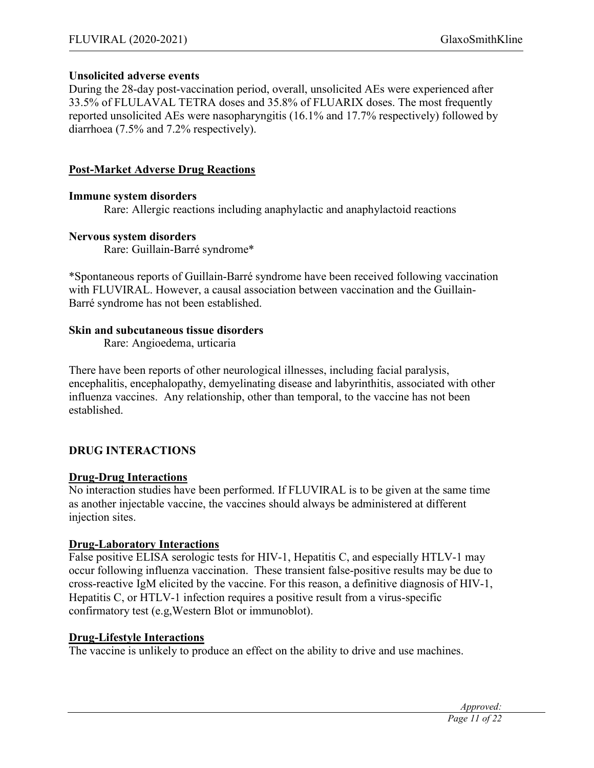### **Unsolicited adverse events**

During the 28-day post-vaccination period, overall, unsolicited AEs were experienced after 33.5% of FLULAVAL TETRA doses and 35.8% of FLUARIX doses. The most frequently reported unsolicited AEs were nasopharyngitis (16.1% and 17.7% respectively) followed by diarrhoea (7.5% and 7.2% respectively).

#### **Post-Market Adverse Drug Reactions**

#### **Immune system disorders**

Rare: Allergic reactions including anaphylactic and anaphylactoid reactions

### **Nervous system disorders**

Rare: Guillain-Barré syndrome\*

\*Spontaneous reports of Guillain-Barré syndrome have been received following vaccination with FLUVIRAL. However, a causal association between vaccination and the Guillain-Barré syndrome has not been established.

### **Skin and subcutaneous tissue disorders**

Rare: Angioedema, urticaria

There have been reports of other neurological illnesses, including facial paralysis, encephalitis, encephalopathy, demyelinating disease and labyrinthitis, associated with other influenza vaccines. Any relationship, other than temporal, to the vaccine has not been established.

# **DRUG INTERACTIONS**

### **Drug-Drug Interactions**

No interaction studies have been performed. If FLUVIRAL is to be given at the same time as another injectable vaccine, the vaccines should always be administered at different injection sites.

### **Drug-Laboratory Interactions**

False positive ELISA serologic tests for HIV-1, Hepatitis C, and especially HTLV-1 may occur following influenza vaccination. These transient false-positive results may be due to cross-reactive IgM elicited by the vaccine. For this reason, a definitive diagnosis of HIV-1, Hepatitis C, or HTLV-1 infection requires a positive result from a virus-specific confirmatory test (e.g,Western Blot or immunoblot).

### **Drug-Lifestyle Interactions**

The vaccine is unlikely to produce an effect on the ability to drive and use machines.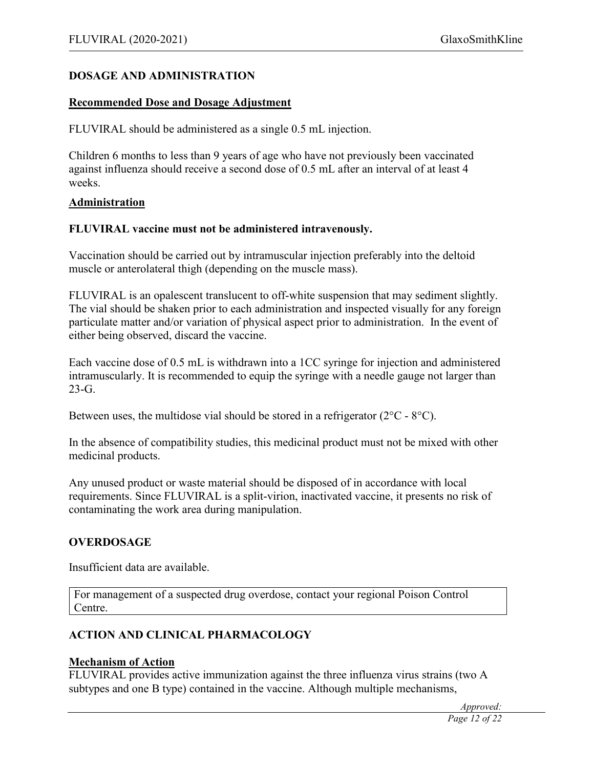## **DOSAGE AND ADMINISTRATION**

#### **Recommended Dose and Dosage Adjustment**

FLUVIRAL should be administered as a single 0.5 mL injection.

Children 6 months to less than 9 years of age who have not previously been vaccinated against influenza should receive a second dose of 0.5 mL after an interval of at least 4 weeks.

#### **Administration**

#### **FLUVIRAL vaccine must not be administered intravenously.**

Vaccination should be carried out by intramuscular injection preferably into the deltoid muscle or anterolateral thigh (depending on the muscle mass).

FLUVIRAL is an opalescent translucent to off-white suspension that may sediment slightly. The vial should be shaken prior to each administration and inspected visually for any foreign particulate matter and/or variation of physical aspect prior to administration. In the event of either being observed, discard the vaccine.

Each vaccine dose of 0.5 mL is withdrawn into a 1CC syringe for injection and administered intramuscularly. It is recommended to equip the syringe with a needle gauge not larger than  $23-G.$ 

Between uses, the multidose vial should be stored in a refrigerator  $(2^{\circ}C - 8^{\circ}C)$ .

In the absence of compatibility studies, this medicinal product must not be mixed with other medicinal products.

Any unused product or waste material should be disposed of in accordance with local requirements. Since FLUVIRAL is a split-virion, inactivated vaccine, it presents no risk of contaminating the work area during manipulation.

### **OVERDOSAGE**

Insufficient data are available.

For management of a suspected drug overdose, contact your regional Poison Control Centre.

# **ACTION AND CLINICAL PHARMACOLOGY**

#### **Mechanism of Action**

FLUVIRAL provides active immunization against the three influenza virus strains (two A subtypes and one B type) contained in the vaccine. Although multiple mechanisms,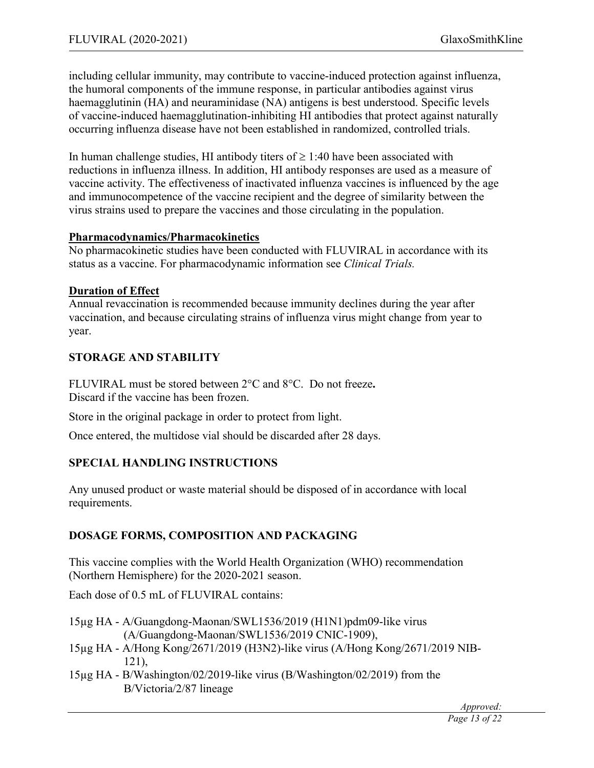including cellular immunity, may contribute to vaccine-induced protection against influenza, the humoral components of the immune response, in particular antibodies against virus haemagglutinin (HA) and neuraminidase (NA) antigens is best understood. Specific levels of vaccine-induced haemagglutination-inhibiting HI antibodies that protect against naturally occurring influenza disease have not been established in randomized, controlled trials.

In human challenge studies, HI antibody titers of  $\geq 1:40$  have been associated with reductions in influenza illness. In addition, HI antibody responses are used as a measure of vaccine activity. The effectiveness of inactivated influenza vaccines is influenced by the age and immunocompetence of the vaccine recipient and the degree of similarity between the virus strains used to prepare the vaccines and those circulating in the population.

### **Pharmacodynamics/Pharmacokinetics**

No pharmacokinetic studies have been conducted with FLUVIRAL in accordance with its status as a vaccine. For pharmacodynamic information see *Clinical Trials.*

### **Duration of Effect**

Annual revaccination is recommended because immunity declines during the year after vaccination, and because circulating strains of influenza virus might change from year to year.

# **STORAGE AND STABILITY**

FLUVIRAL must be stored between 2°C and 8°C. Do not freeze**.** Discard if the vaccine has been frozen.

Store in the original package in order to protect from light.

Once entered, the multidose vial should be discarded after 28 days.

# **SPECIAL HANDLING INSTRUCTIONS**

Any unused product or waste material should be disposed of in accordance with local requirements.

# **DOSAGE FORMS, COMPOSITION AND PACKAGING**

This vaccine complies with the World Health Organization (WHO) recommendation (Northern Hemisphere) for the 2020-2021 season.

Each dose of 0.5 mL of FLUVIRAL contains:

- 15µg HA A/Guangdong-Maonan/SWL1536/2019 (H1N1)pdm09-like virus (A/Guangdong-Maonan/SWL1536/2019 CNIC-1909),
- 15µg HA A/Hong Kong/2671/2019 (H3N2)-like virus (A/Hong Kong/2671/2019 NIB-121),
- 15µg HA B/Washington/02/2019-like virus (B/Washington/02/2019) from the B/Victoria/2/87 lineage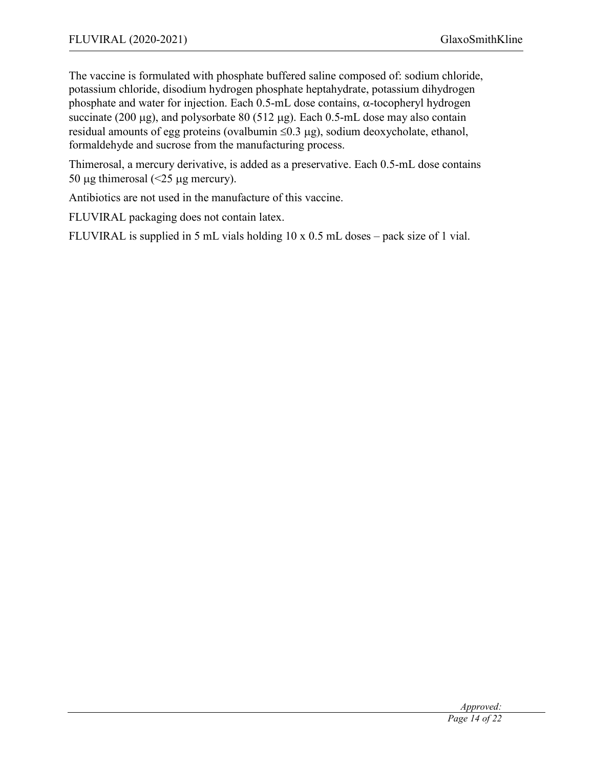The vaccine is formulated with phosphate buffered saline composed of: sodium chloride, potassium chloride, disodium hydrogen phosphate heptahydrate, potassium dihydrogen phosphate and water for injection. Each  $0.5$ -mL dose contains,  $\alpha$ -tocopheryl hydrogen succinate (200  $\mu$ g), and polysorbate 80 (512  $\mu$ g). Each 0.5-mL dose may also contain residual amounts of egg proteins (ovalbumin  $\leq 0.3 \mu$ g), sodium deoxycholate, ethanol, formaldehyde and sucrose from the manufacturing process.

Thimerosal, a mercury derivative, is added as a preservative. Each 0.5-mL dose contains 50 µg thimerosal  $\left( \text{&} 25 \text{ µg mercury} \right)$ .

Antibiotics are not used in the manufacture of this vaccine.

FLUVIRAL packaging does not contain latex.

FLUVIRAL is supplied in 5 mL vials holding 10 x 0.5 mL doses – pack size of 1 vial.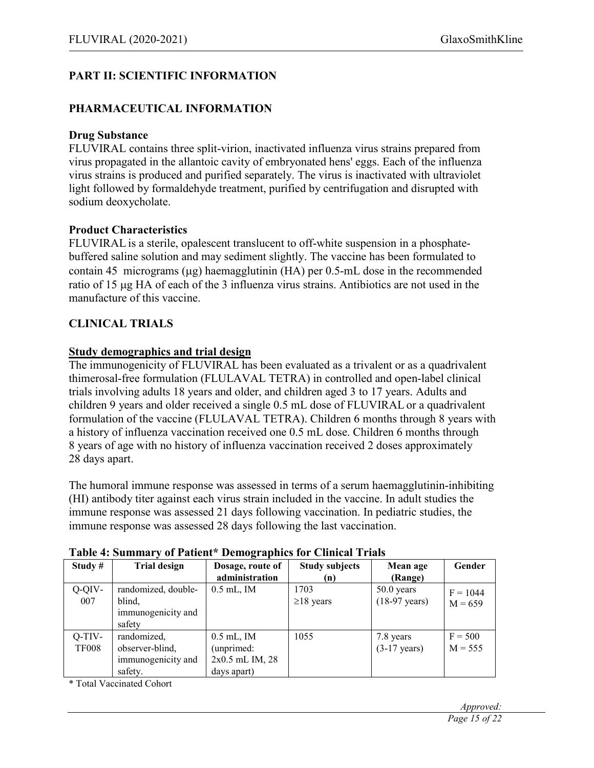# **PART II: SCIENTIFIC INFORMATION**

### **PHARMACEUTICAL INFORMATION**

#### **Drug Substance**

FLUVIRAL contains three split-virion, inactivated influenza virus strains prepared from virus propagated in the allantoic cavity of embryonated hens' eggs. Each of the influenza virus strains is produced and purified separately. The virus is inactivated with ultraviolet light followed by formaldehyde treatment, purified by centrifugation and disrupted with sodium deoxycholate.

### **Product Characteristics**

FLUVIRAL is a sterile, opalescent translucent to off-white suspension in a phosphatebuffered saline solution and may sediment slightly. The vaccine has been formulated to contain 45 micrograms ( $\mu$ g) haemagglutinin (HA) per 0.5-mL dose in the recommended ratio of 15 µg HA of each of the 3 influenza virus strains. Antibiotics are not used in the manufacture of this vaccine.

## **CLINICAL TRIALS**

### **Study demographics and trial design**

The immunogenicity of FLUVIRAL has been evaluated as a trivalent or as a quadrivalent thimerosal-free formulation (FLULAVAL TETRA) in controlled and open-label clinical trials involving adults 18 years and older, and children aged 3 to 17 years. Adults and children 9 years and older received a single 0.5 mL dose of FLUVIRAL or a quadrivalent formulation of the vaccine (FLULAVAL TETRA). Children 6 months through 8 years with a history of influenza vaccination received one 0.5 mL dose. Children 6 months through 8 years of age with no history of influenza vaccination received 2 doses approximately 28 days apart.

The humoral immune response was assessed in terms of a serum haemagglutinin-inhibiting (HI) antibody titer against each virus strain included in the vaccine. In adult studies the immune response was assessed 21 days following vaccination. In pediatric studies, the immune response was assessed 28 days following the last vaccination.

| тиріс і: ришшин у<br>$\sigma$ ration, <i>b</i> can graphics for changing ratios |                                                                 |                                                              |                              |                                         |                         |
|---------------------------------------------------------------------------------|-----------------------------------------------------------------|--------------------------------------------------------------|------------------------------|-----------------------------------------|-------------------------|
| Study $#$                                                                       | <b>Trial design</b>                                             | Dosage, route of<br>administration                           | <b>Study subjects</b><br>(n) | Mean age<br>(Range)                     | Gender                  |
| $Q-QIV-$<br>007                                                                 | randomized, double-<br>blind.<br>immunogenicity and<br>safety   | $0.5$ mL, IM                                                 | 1703<br>$\geq$ 18 years      | $50.0$ years<br>$(18-97 \text{ years})$ | $F = 1044$<br>$M = 659$ |
| $Q-TIV-$<br><b>TF008</b>                                                        | randomized,<br>observer-blind,<br>immunogenicity and<br>safety. | $0.5$ mL, IM<br>(unprimed:<br>2x0.5 mL IM, 28<br>days apart) | 1055                         | 7.8 years<br>$(3-17 \text{ years})$     | $F = 500$<br>$M = 555$  |

#### **Table 4: Summary of Patient\* Demographics for Clinical Trials**

\* Total Vaccinated Cohort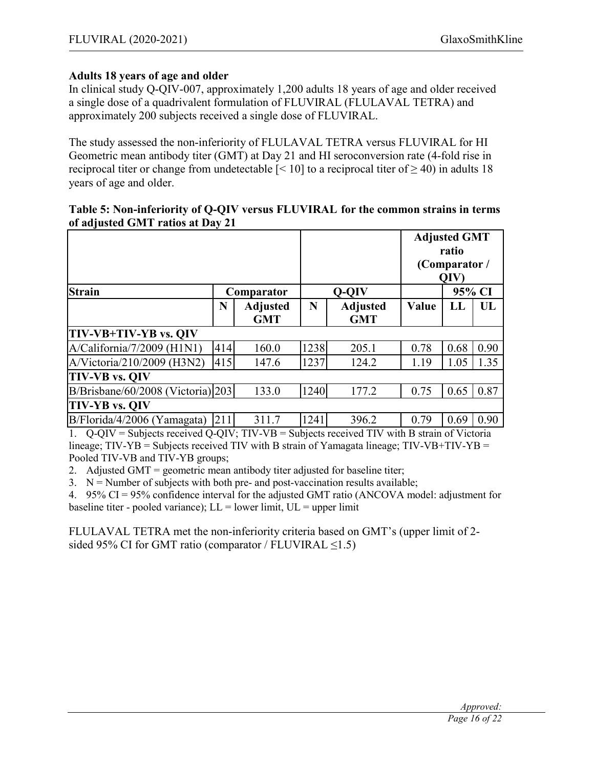## **Adults 18 years of age and older**

In clinical study Q-QIV-007, approximately 1,200 adults 18 years of age and older received a single dose of a quadrivalent formulation of FLUVIRAL (FLULAVAL TETRA) and approximately 200 subjects received a single dose of FLUVIRAL.

The study assessed the non-inferiority of FLULAVAL TETRA versus FLUVIRAL for HI Geometric mean antibody titer (GMT) at Day 21 and HI seroconversion rate (4-fold rise in reciprocal titer or change from undetectable  $\lceil 5 \rceil 10$  to a reciprocal titer of  $\geq 40$ ) in adults 18 years of age and older.

### **Table 5: Non-inferiority of Q-QIV versus FLUVIRAL for the common strains in terms of adjusted GMT ratios at Day 21**

|     |                                   |            | Q-QIV                         |       | 95% CI |                                                       |
|-----|-----------------------------------|------------|-------------------------------|-------|--------|-------------------------------------------------------|
| N   | <b>Adjusted</b><br><b>GMT</b>     | N          | <b>Adjusted</b><br><b>GMT</b> | Value | LL     | UL                                                    |
|     |                                   |            |                               |       |        |                                                       |
| 414 | 160.0                             | 1238       | 205.1                         | 0.78  | 0.68   | 0.90                                                  |
| 415 | 147.6                             | 1237       | 124.2                         | 1.19  | 1.05   | 1.35                                                  |
|     |                                   |            |                               |       |        |                                                       |
|     | 133.0                             | 1240       | 177.2                         | 0.75  | 0.65   | 0.87                                                  |
|     |                                   |            |                               |       |        |                                                       |
| 211 | 311.7                             | 1241       | 396.2                         | 0.79  | 0.69   | 0.90                                                  |
|     | B/Brisbane/60/2008 (Victoria) 203 | Comparator |                               |       |        | <b>Adjusted GMT</b><br>ratio<br>(Comparator /<br>QIV) |

1. Q-QIV = Subjects received Q-QIV; TIV-VB = Subjects received TIV with B strain of Victoria

lineage;  $TIV-YB =$  Subjects received TIV with B strain of Yamagata lineage;  $TIV-VB+TIV-YB =$ Pooled TIV-VB and TIV-YB groups;

2. Adjusted GMT = geometric mean antibody titer adjusted for baseline titer;

 $3. \quad N =$  Number of subjects with both pre- and post-vaccination results available;

4. 95% CI = 95% confidence interval for the adjusted GMT ratio (ANCOVA model: adjustment for baseline titer - pooled variance);  $LL =$  lower limit,  $UL =$  upper limit

FLULAVAL TETRA met the non-inferiority criteria based on GMT's (upper limit of 2 sided 95% CI for GMT ratio (comparator / FLUVIRAL <1.5)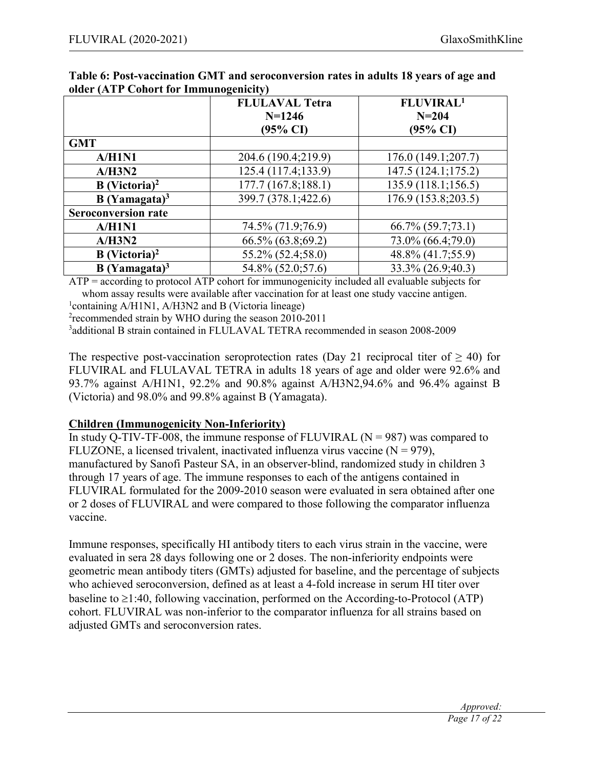|                             | <b>FLULAVAL Tetra</b> | FLUVIRAL <sup>1</sup> |
|-----------------------------|-----------------------|-----------------------|
|                             | $N=1246$              | $N = 204$             |
|                             | (95% CI)              | $(95\% \text{ CI})$   |
| <b>GMT</b>                  |                       |                       |
| A/H1N1                      | 204.6 (190.4;219.9)   | 176.0 (149.1;207.7)   |
| A/H3N2                      | 125.4 (117.4;133.9)   | 147.5 (124.1;175.2)   |
| $B$ (Victoria) <sup>2</sup> | 177.7 (167.8;188.1)   | 135.9 (118.1;156.5)   |
| $B$ (Yamagata) <sup>3</sup> | 399.7 (378.1;422.6)   | 176.9 (153.8;203.5)   |
| <b>Seroconversion rate</b>  |                       |                       |
| A/H1N1                      | 74.5% (71.9;76.9)     | 66.7% (59.7;73.1)     |
| A/H3N2                      | 66.5% (63.8;69.2)     | 73.0% (66.4;79.0)     |
| $B$ (Victoria) <sup>2</sup> | 55.2% (52.4;58.0)     | 48.8% (41.7;55.9)     |
| $B$ (Yamagata) <sup>3</sup> | 54.8% (52.0;57.6)     | 33.3% (26.9;40.3)     |

#### **Table 6: Post-vaccination GMT and seroconversion rates in adults 18 years of age and older (ATP Cohort for Immunogenicity)**

ATP = according to protocol ATP cohort for immunogenicity included all evaluable subjects for whom assay results were available after vaccination for at least one study vaccine antigen.

<sup>1</sup>containing A/H1N1, A/H3N2 and B (Victoria lineage)

<sup>2</sup> recommended strain by WHO during the season 2010-2011

3 additional B strain contained in FLULAVAL TETRA recommended in season 2008-2009

The respective post-vaccination seroprotection rates (Day 21 reciprocal titer of  $\geq$  40) for FLUVIRAL and FLULAVAL TETRA in adults 18 years of age and older were 92.6% and 93.7% against A/H1N1, 92.2% and 90.8% against A/H3N2,94.6% and 96.4% against B (Victoria) and 98.0% and 99.8% against B (Yamagata).

# **Children (Immunogenicity Non-Inferiority)**

In study Q-TIV-TF-008, the immune response of FLUVIRAL  $(N = 987)$  was compared to FLUZONE, a licensed trivalent, inactivated influenza virus vaccine  $(N = 979)$ , manufactured by Sanofi Pasteur SA, in an observer-blind, randomized study in children 3 through 17 years of age. The immune responses to each of the antigens contained in FLUVIRAL formulated for the 2009-2010 season were evaluated in sera obtained after one or 2 doses of FLUVIRAL and were compared to those following the comparator influenza vaccine.

Immune responses, specifically HI antibody titers to each virus strain in the vaccine, were evaluated in sera 28 days following one or 2 doses. The non-inferiority endpoints were geometric mean antibody titers (GMTs) adjusted for baseline, and the percentage of subjects who achieved seroconversion, defined as at least a 4-fold increase in serum HI titer over baseline to  $\geq$ 1:40, following vaccination, performed on the According-to-Protocol (ATP) cohort. FLUVIRAL was non-inferior to the comparator influenza for all strains based on adjusted GMTs and seroconversion rates.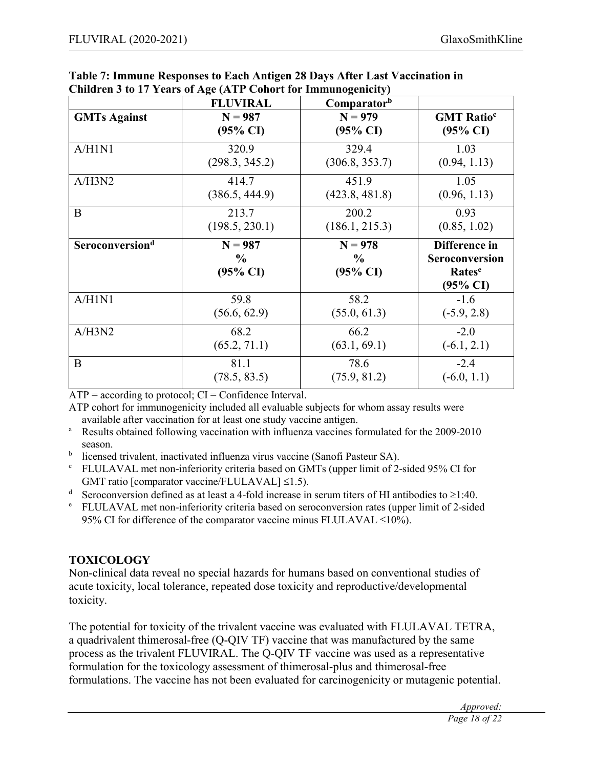|                             | $\mathcal{L}$ murch $\mathcal{L}$ to 17 Tears of Age (ATT Conore for Thimunogeneity)<br><b>FLUVIRAL</b> | Comparatorb         |                               |
|-----------------------------|---------------------------------------------------------------------------------------------------------|---------------------|-------------------------------|
| <b>GMTs Against</b>         | $N = 987$                                                                                               | $N = 979$           | <b>GMT</b> Ratio <sup>c</sup> |
|                             | $(95\% \text{ CI})$                                                                                     | $(95\% \text{ CI})$ | $(95\% \text{ CI})$           |
| A/H1N1                      | 320.9                                                                                                   | 329.4               | 1.03                          |
|                             | (298.3, 345.2)                                                                                          | (306.8, 353.7)      | (0.94, 1.13)                  |
| A/H3N2                      | 414.7                                                                                                   | 451.9               | 1.05                          |
|                             | (386.5, 444.9)                                                                                          | (423.8, 481.8)      | (0.96, 1.13)                  |
| B                           | 213.7                                                                                                   | 200.2               | 0.93                          |
|                             | (198.5, 230.1)                                                                                          | (186.1, 215.3)      | (0.85, 1.02)                  |
|                             |                                                                                                         |                     |                               |
| Seroconversion <sup>d</sup> | $N = 987$                                                                                               | $N = 978$           | Difference in                 |
|                             | $\frac{6}{9}$                                                                                           | $\frac{6}{9}$       | <b>Seroconversion</b>         |
|                             | $(95\% \text{ CI})$                                                                                     | $(95\% \text{ CI})$ | Rates <sup>e</sup>            |
|                             |                                                                                                         |                     | $(95\% \text{ CI})$           |
| A/H1N1                      | 59.8                                                                                                    | 58.2                | $-1.6$                        |
|                             | (56.6, 62.9)                                                                                            | (55.0, 61.3)        | $(-5.9, 2.8)$                 |
| A/H3N2                      | 68.2                                                                                                    | 66.2                | $-2.0$                        |
|                             | (65.2, 71.1)                                                                                            | (63.1, 69.1)        | $(-6.1, 2.1)$                 |
| B                           | 81.1                                                                                                    | 78.6                | $-2.4$                        |

| Table 7: Immune Responses to Each Antigen 28 Days After Last Vaccination in |  |
|-----------------------------------------------------------------------------|--|
| Children 3 to 17 Years of Age (ATP Cohort for Immunogenicity)               |  |

 $\overline{ATP}$  = according to protocol;  $CI$  = Confidence Interval.

ATP cohort for immunogenicity included all evaluable subjects for whom assay results were available after vaccination for at least one study vaccine antigen.

- <sup>a</sup> Results obtained following vaccination with influenza vaccines formulated for the 2009-2010 season.
- <sup>b</sup> licensed trivalent, inactivated influenza virus vaccine (Sanofi Pasteur SA).
- <sup>c</sup> FLULAVAL met non-inferiority criteria based on GMTs (upper limit of 2-sided 95% CI for GMT ratio [comparator vaccine/FLULAVAL]  $\leq$ 1.5).
- <sup>d</sup> Seroconversion defined as at least a 4-fold increase in serum titers of HI antibodies to  $\geq$ 1:40.
- <sup>e</sup> FLULAVAL met non-inferiority criteria based on seroconversion rates (upper limit of 2-sided 95% CI for difference of the comparator vaccine minus FLULAVAL  $\leq$ 10%).

# **TOXICOLOGY**

Non-clinical data reveal no special hazards for humans based on conventional studies of acute toxicity, local tolerance, repeated dose toxicity and reproductive/developmental toxicity.

The potential for toxicity of the trivalent vaccine was evaluated with FLULAVAL TETRA, a quadrivalent thimerosal-free (Q-QIV TF) vaccine that was manufactured by the same process as the trivalent FLUVIRAL. The Q-QIV TF vaccine was used as a representative formulation for the toxicology assessment of thimerosal-plus and thimerosal-free formulations. The vaccine has not been evaluated for carcinogenicity or mutagenic potential.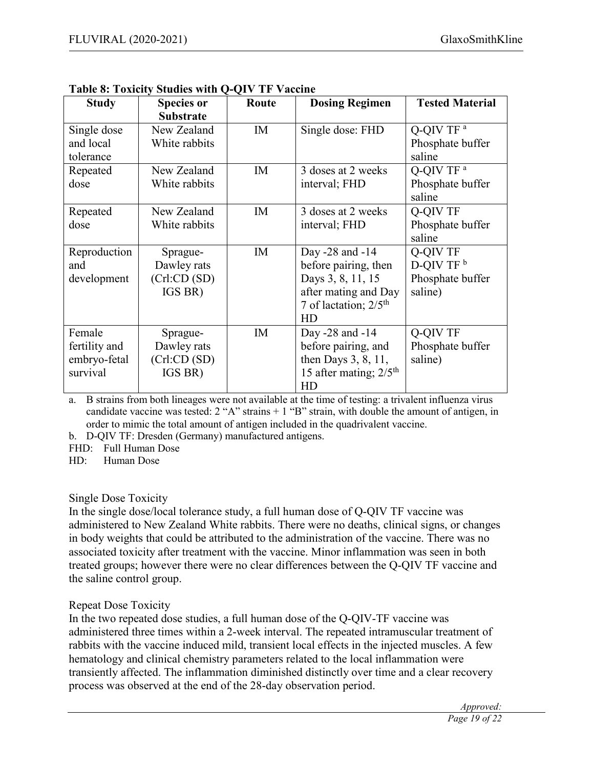| <b>Study</b>  | <b>Species or</b> | Route | <b>Dosing Regimen</b>                | <b>Tested Material</b> |
|---------------|-------------------|-------|--------------------------------------|------------------------|
|               | <b>Substrate</b>  |       |                                      |                        |
| Single dose   | New Zealand       | IM    | Single dose: FHD                     | Q-QIV TF <sup>a</sup>  |
| and local     | White rabbits     |       |                                      | Phosphate buffer       |
| tolerance     |                   |       |                                      | saline                 |
| Repeated      | New Zealand       | IM    | 3 doses at 2 weeks                   | Q-QIV TF <sup>a</sup>  |
| dose          | White rabbits     |       | interval; FHD                        | Phosphate buffer       |
|               |                   |       |                                      | saline                 |
| Repeated      | New Zealand       | IM    | 3 doses at 2 weeks                   | Q-QIV TF               |
| dose          | White rabbits     |       | interval; FHD                        | Phosphate buffer       |
|               |                   |       |                                      | saline                 |
| Reproduction  | Sprague-          | IM    | Day -28 and -14                      | Q-QIV TF               |
| and           | Dawley rats       |       | before pairing, then                 | D-QIV TF $^{\rm b}$    |
| development   | (Crl:CD(SD))      |       | Days 3, 8, 11, 15                    | Phosphate buffer       |
|               | IGS BR)           |       | after mating and Day                 | saline)                |
|               |                   |       | 7 of lactation; $2/5$ <sup>th</sup>  |                        |
|               |                   |       | HD                                   |                        |
| Female        | Sprague-          | IM    | Day -28 and -14                      | Q-QIV TF               |
| fertility and | Dawley rats       |       | before pairing, and                  | Phosphate buffer       |
| embryo-fetal  | (Crl:CD(SD))      |       | then Days $3, 8, 11,$                | saline)                |
| survival      | IGS BR)           |       | 15 after mating; $2/5$ <sup>th</sup> |                        |
|               |                   |       | HD                                   |                        |

a. B strains from both lineages were not available at the time of testing: a trivalent influenza virus candidate vaccine was tested:  $2 \n M$ " strains  $+ 1 \n M$ " strain, with double the amount of antigen, in order to mimic the total amount of antigen included in the quadrivalent vaccine.

b. D-QIV TF: Dresden (Germany) manufactured antigens.

FHD: Full Human Dose

HD: Human Dose

### Single Dose Toxicity

In the single dose/local tolerance study, a full human dose of Q-QIV TF vaccine was administered to New Zealand White rabbits. There were no deaths, clinical signs, or changes in body weights that could be attributed to the administration of the vaccine. There was no associated toxicity after treatment with the vaccine. Minor inflammation was seen in both treated groups; however there were no clear differences between the Q-QIV TF vaccine and the saline control group.

# Repeat Dose Toxicity

In the two repeated dose studies, a full human dose of the Q-QIV-TF vaccine was administered three times within a 2-week interval. The repeated intramuscular treatment of rabbits with the vaccine induced mild, transient local effects in the injected muscles. A few hematology and clinical chemistry parameters related to the local inflammation were transiently affected. The inflammation diminished distinctly over time and a clear recovery process was observed at the end of the 28-day observation period.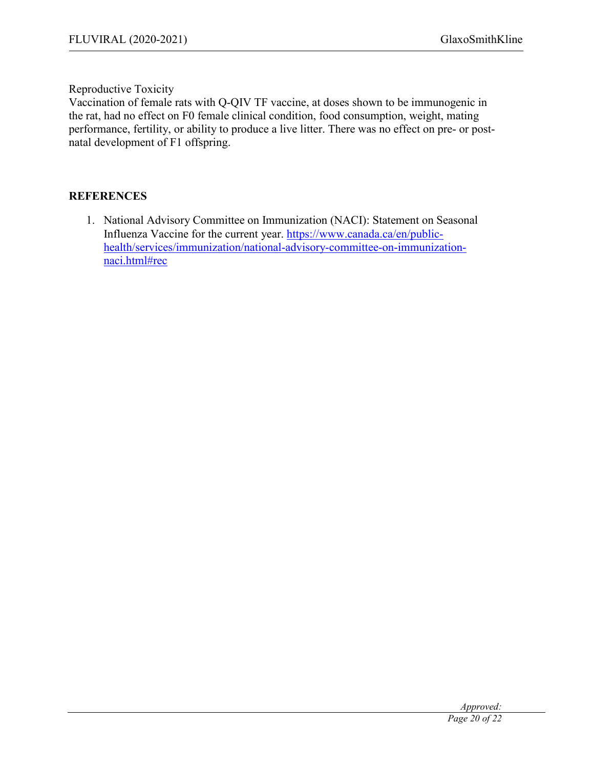Reproductive Toxicity

Vaccination of female rats with Q-QIV TF vaccine, at doses shown to be immunogenic in the rat, had no effect on F0 female clinical condition, food consumption, weight, mating performance, fertility, or ability to produce a live litter. There was no effect on pre- or postnatal development of F1 offspring.

#### **REFERENCES**

1. National Advisory Committee on Immunization (NACI): Statement on Seasonal Influenza Vaccine for the current year. https://www.canada.ca/en/publichealth/services/immunization/national-advisory-committee-on-immunizationnaci.html#rec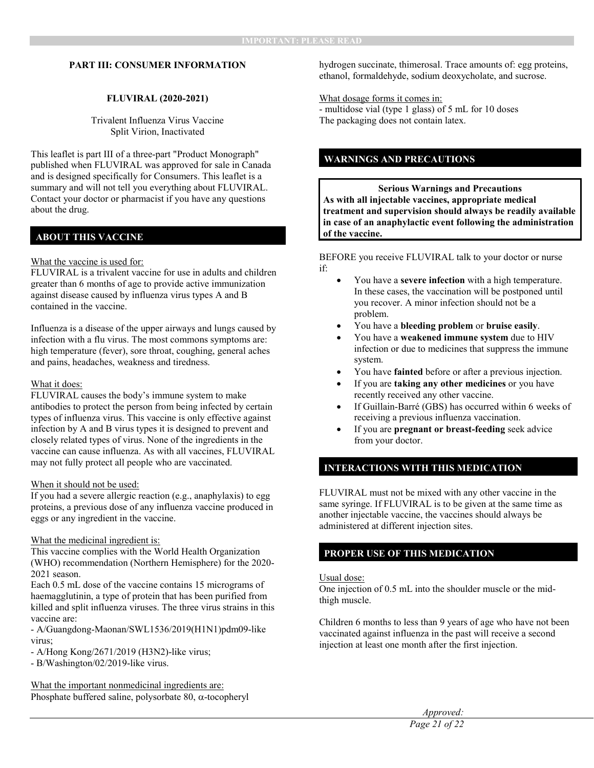#### **PART III: CONSUMER INFORMATION**

#### **FLUVIRAL (2020-2021)**

Trivalent Influenza Virus Vaccine Split Virion, Inactivated

This leaflet is part III of a three-part "Product Monograph" published when FLUVIRAL was approved for sale in Canada and is designed specifically for Consumers. This leaflet is a summary and will not tell you everything about FLUVIRAL. Contact your doctor or pharmacist if you have any questions about the drug.

#### **ABOUT THIS VACCINE**

#### What the vaccine is used for:

FLUVIRAL is a trivalent vaccine for use in adults and children greater than 6 months of age to provide active immunization against disease caused by influenza virus types A and B contained in the vaccine.

Influenza is a disease of the upper airways and lungs caused by infection with a flu virus. The most commons symptoms are: high temperature (fever), sore throat, coughing, general aches and pains, headaches, weakness and tiredness.

#### What it does:

FLUVIRAL causes the body's immune system to make antibodies to protect the person from being infected by certain types of influenza virus. This vaccine is only effective against infection by A and B virus types it is designed to prevent and closely related types of virus. None of the ingredients in the vaccine can cause influenza. As with all vaccines, FLUVIRAL may not fully protect all people who are vaccinated.

#### When it should not be used:

If you had a severe allergic reaction (e.g., anaphylaxis) to egg proteins, a previous dose of any influenza vaccine produced in eggs or any ingredient in the vaccine.

#### What the medicinal ingredient is:

This vaccine complies with the World Health Organization (WHO) recommendation (Northern Hemisphere) for the 2020- 2021 season.

Each 0.5 mL dose of the vaccine contains 15 micrograms of haemagglutinin, a type of protein that has been purified from killed and split influenza viruses. The three virus strains in this vaccine are:

- A/Guangdong-Maonan/SWL1536/2019(H1N1)pdm09-like virus;

- A/Hong Kong/2671/2019 (H3N2)-like virus;
- B/Washington/02/2019-like virus.

What the important nonmedicinal ingredients are: Phosphate buffered saline, polysorbate 80,  $\alpha$ -tocopheryl hydrogen succinate, thimerosal. Trace amounts of: egg proteins, ethanol, formaldehyde, sodium deoxycholate, and sucrose.

What dosage forms it comes in: - multidose vial (type 1 glass) of 5 mL for 10 doses The packaging does not contain latex.

#### **WARNINGS AND PRECAUTIONS**

**Serious Warnings and Precautions As with all injectable vaccines, appropriate medical treatment and supervision should always be readily available in case of an anaphylactic event following the administration of the vaccine.**

BEFORE you receive FLUVIRAL talk to your doctor or nurse if:

- You have a **severe infection** with a high temperature. In these cases, the vaccination will be postponed until you recover. A minor infection should not be a problem.
- You have a **bleeding problem** or **bruise easily**.
- You have a **weakened immune system** due to HIV infection or due to medicines that suppress the immune system.
- You have **fainted** before or after a previous injection.
- If you are **taking any other medicines** or you have recently received any other vaccine.
- If Guillain-Barré (GBS) has occurred within 6 weeks of receiving a previous influenza vaccination.
- If you are **pregnant or breast-feeding** seek advice from your doctor.

#### **INTERACTIONS WITH THIS MEDICATION**

FLUVIRAL must not be mixed with any other vaccine in the same syringe. If FLUVIRAL is to be given at the same time as another injectable vaccine, the vaccines should always be administered at different injection sites.

#### **PROPER USE OF THIS MEDICATION**

#### Usual dose:

One injection of 0.5 mL into the shoulder muscle or the midthigh muscle.

Children 6 months to less than 9 years of age who have not been vaccinated against influenza in the past will receive a second injection at least one month after the first injection.